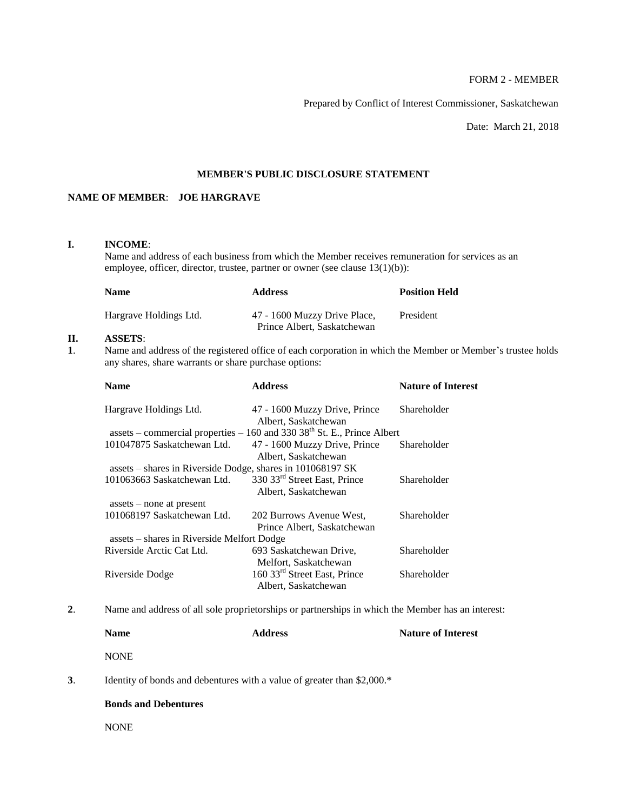# FORM 2 - MEMBER

Prepared by Conflict of Interest Commissioner, Saskatchewan

Date: March 21, 2018

# **MEMBER'S PUBLIC DISCLOSURE STATEMENT**

# **NAME OF MEMBER**: **JOE HARGRAVE**

# **I. INCOME**:

Name and address of each business from which the Member receives remuneration for services as an employee, officer, director, trustee, partner or owner (see clause 13(1)(b)):

| <b>Name</b>            | <b>Address</b>                                              | <b>Position Held</b> |
|------------------------|-------------------------------------------------------------|----------------------|
| Hargrave Holdings Ltd. | 47 - 1600 Muzzy Drive Place,<br>Prince Albert, Saskatchewan | President            |

# **II. ASSETS**:

**1**. Name and address of the registered office of each corporation in which the Member or Member's trustee holds any shares, share warrants or share purchase options:

| <b>Name</b>                                                | <b>Address</b>                                                                | <b>Nature of Interest</b> |
|------------------------------------------------------------|-------------------------------------------------------------------------------|---------------------------|
| Hargrave Holdings Ltd.                                     | 47 - 1600 Muzzy Drive, Prince<br>Albert, Saskatchewan                         | Shareholder               |
|                                                            | assets – commercial properties – $160$ and $330$ $38th$ St. E., Prince Albert |                           |
| 101047875 Saskatchewan Ltd.                                | 47 - 1600 Muzzy Drive, Prince                                                 | Shareholder               |
|                                                            | Albert, Saskatchewan                                                          |                           |
| assets – shares in Riverside Dodge, shares in 101068197 SK |                                                                               |                           |
| 101063663 Saskatchewan Ltd.                                | 330 33 <sup>rd</sup> Street East, Prince<br>Albert, Saskatchewan              | Shareholder               |
| $asserts$ – none at present                                |                                                                               |                           |
| 101068197 Saskatchewan Ltd.                                | 202 Burrows Avenue West,<br>Prince Albert, Saskatchewan                       | Shareholder               |
| assets – shares in Riverside Melfort Dodge                 |                                                                               |                           |
| Riverside Arctic Cat Ltd.                                  | 693 Saskatchewan Drive,<br>Melfort, Saskatchewan                              | Shareholder               |
| Riverside Dodge                                            | 160 33 <sup>rd</sup> Street East, Prince<br>Albert, Saskatchewan              | Shareholder               |

**2**. Name and address of all sole proprietorships or partnerships in which the Member has an interest:

| <b>Name</b> | <b>Address</b>                                                          | <b>Nature of Interest</b> |
|-------------|-------------------------------------------------------------------------|---------------------------|
| <b>NONE</b> |                                                                         |                           |
|             | Identity of bonds and debentures with a value of greater than \$2,000.* |                           |

# **Bonds and Debentures**

NONE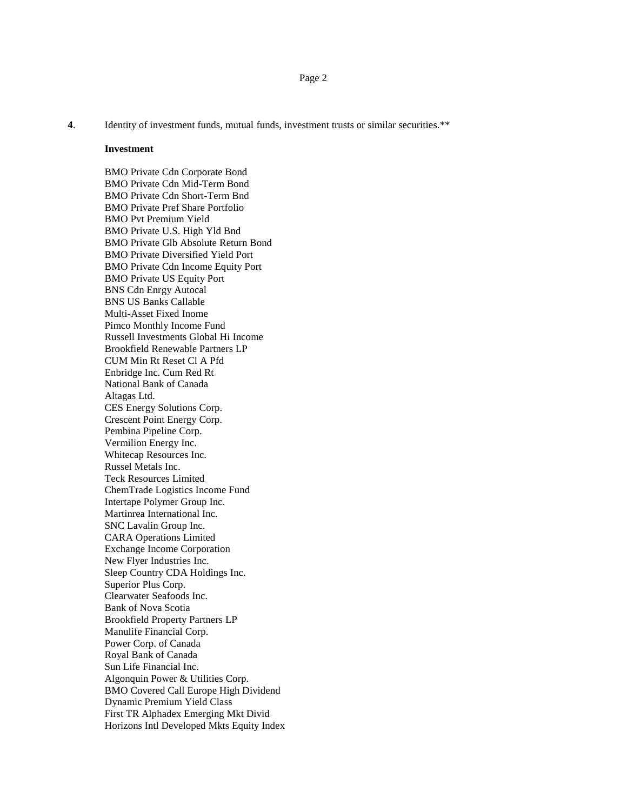**4**. Identity of investment funds, mutual funds, investment trusts or similar securities.\*\*

#### **Investment**

BMO Private Cdn Corporate Bond BMO Private Cdn Mid-Term Bond BMO Private Cdn Short-Term Bnd BMO Private Pref Share Portfolio BMO Pvt Premium Yield BMO Private U.S. High Yld Bnd BMO Private Glb Absolute Return Bond BMO Private Diversified Yield Port BMO Private Cdn Income Equity Port BMO Private US Equity Port BNS Cdn Enrgy Autocal BNS US Banks Callable Multi-Asset Fixed Inome Pimco Monthly Income Fund Russell Investments Global Hi Income Brookfield Renewable Partners LP CUM Min Rt Reset Cl A Pfd Enbridge Inc. Cum Red Rt National Bank of Canada Altagas Ltd. CES Energy Solutions Corp. Crescent Point Energy Corp. Pembina Pipeline Corp. Vermilion Energy Inc. Whitecap Resources Inc. Russel Metals Inc. Teck Resources Limited ChemTrade Logistics Income Fund Intertape Polymer Group Inc. Martinrea International Inc. SNC Lavalin Group Inc. CARA Operations Limited Exchange Income Corporation New Flyer Industries Inc. Sleep Country CDA Holdings Inc. Superior Plus Corp. Clearwater Seafoods Inc. Bank of Nova Scotia Brookfield Property Partners LP Manulife Financial Corp. Power Corp. of Canada Royal Bank of Canada Sun Life Financial Inc. Algonquin Power & Utilities Corp. BMO Covered Call Europe High Dividend Dynamic Premium Yield Class First TR Alphadex Emerging Mkt Divid Horizons Intl Developed Mkts Equity Index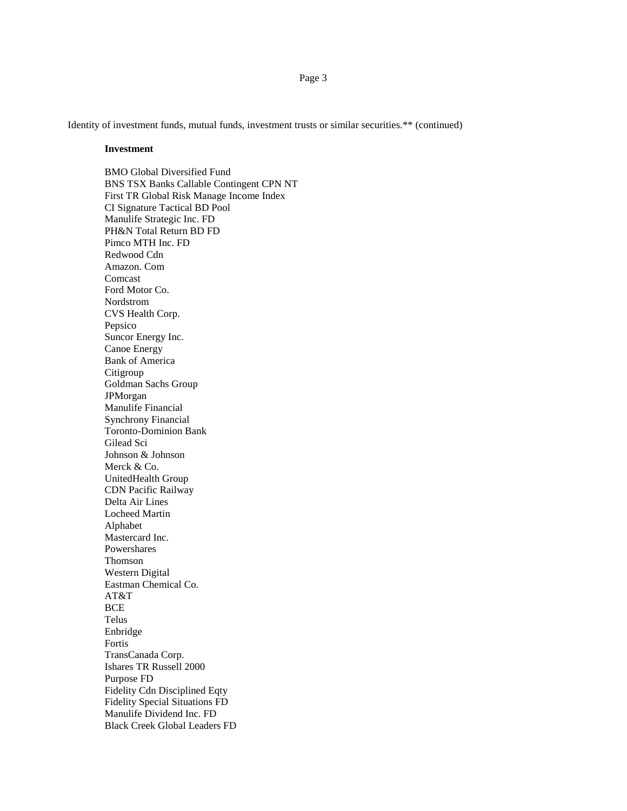Identity of investment funds, mutual funds, investment trusts or similar securities.\*\* (continued)

#### **Investment**

BMO Global Diversified Fund BNS TSX Banks Callable Contingent CPN NT First TR Global Risk Manage Income Index CI Signature Tactical BD Pool Manulife Strategic Inc. FD PH&N Total Return BD FD Pimco MTH Inc. FD Redwood Cdn Amazon. Com Comcast Ford Motor Co. Nordstrom CVS Health Corp. Pepsico Suncor Energy Inc. Canoe Energy Bank of America Citigroup Goldman Sachs Group JPMorgan Manulife Financial Synchrony Financial Toronto-Dominion Bank Gilead Sci Johnson & Johnson Merck & Co. UnitedHealth Group CDN Pacific Railway Delta Air Lines Locheed Martin Alphabet Mastercard Inc. Powershares Thomson Western Digital Eastman Chemical Co. AT&T **BCE** Telus Enbridge Fortis TransCanada Corp. Ishares TR Russell 2000 Purpose FD Fidelity Cdn Disciplined Eqty Fidelity Special Situations FD Manulife Dividend Inc. FD Black Creek Global Leaders FD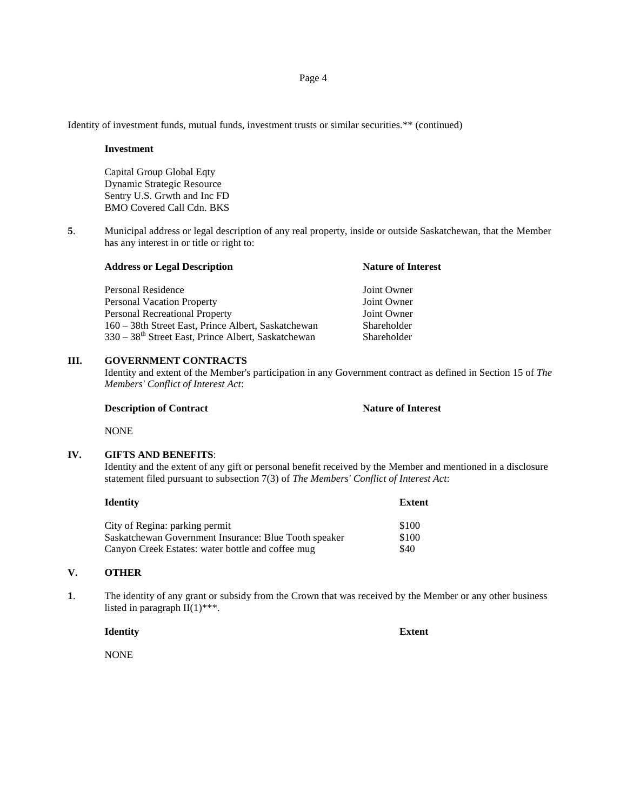Identity of investment funds, mutual funds, investment trusts or similar securities.\*\* (continued)

#### **Investment**

Capital Group Global Eqty Dynamic Strategic Resource Sentry U.S. Grwth and Inc FD BMO Covered Call Cdn. BKS

**5**. Municipal address or legal description of any real property, inside or outside Saskatchewan, that the Member has any interest in or title or right to:

| <b>Address or Legal Description</b>                             | <b>Nature of Interest</b> |  |
|-----------------------------------------------------------------|---------------------------|--|
| Personal Residence                                              | Joint Owner               |  |
| <b>Personal Vacation Property</b>                               | Joint Owner               |  |
| <b>Personal Recreational Property</b>                           | Joint Owner               |  |
| 160 – 38th Street East, Prince Albert, Saskatchewan             | Shareholder               |  |
| 330 – 38 <sup>th</sup> Street East, Prince Albert, Saskatchewan | Shareholder               |  |

# **III. GOVERNMENT CONTRACTS**

Identity and extent of the Member's participation in any Government contract as defined in Section 15 of *The Members' Conflict of Interest Act*:

#### **Description of Contract Nature of Interest**

NONE

#### **IV. GIFTS AND BENEFITS**:

Identity and the extent of any gift or personal benefit received by the Member and mentioned in a disclosure statement filed pursuant to subsection 7(3) of *The Members' Conflict of Interest Act*:

## **Identity Extent**

City of Regina: parking permit  $$100$ Saskatchewan Government Insurance: Blue Tooth speaker \$100 Canyon Creek Estates: water bottle and coffee mug \$40

## **V. OTHER**

**1**. The identity of any grant or subsidy from the Crown that was received by the Member or any other business listed in paragraph  $II(1)$ \*\*\*.

## **Identity Extent**

**NONE**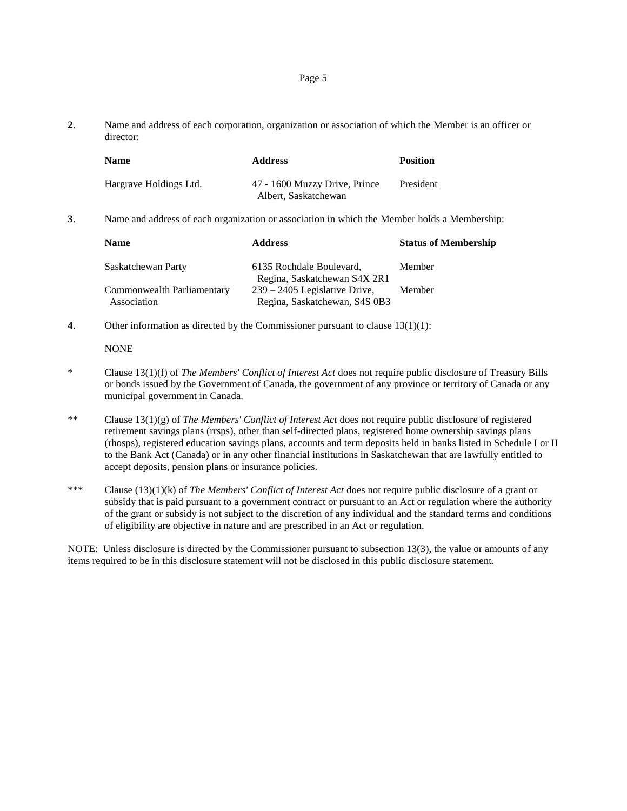**2**. Name and address of each corporation, organization or association of which the Member is an officer or director:

| <b>Name</b>            | <b>Address</b>                                        | <b>Position</b> |
|------------------------|-------------------------------------------------------|-----------------|
| Hargrave Holdings Ltd. | 47 - 1600 Muzzy Drive, Prince<br>Albert, Saskatchewan | President       |

**3**. Name and address of each organization or association in which the Member holds a Membership:

| <b>Name</b>                | <b>Address</b>                  | <b>Status of Membership</b> |
|----------------------------|---------------------------------|-----------------------------|
| Saskatchewan Party         | 6135 Rochdale Boulevard,        | Member                      |
|                            | Regina, Saskatchewan S4X 2R1    |                             |
| Commonwealth Parliamentary | $239 - 2405$ Legislative Drive, | Member                      |
| Association                | Regina, Saskatchewan, S4S 0B3   |                             |

**4**. Other information as directed by the Commissioner pursuant to clause 13(1)(1):

## **NONE**

- \* Clause 13(1)(f) of *The Members' Conflict of Interest Act* does not require public disclosure of Treasury Bills or bonds issued by the Government of Canada, the government of any province or territory of Canada or any municipal government in Canada.
- \*\* Clause 13(1)(g) of *The Members' Conflict of Interest Act* does not require public disclosure of registered retirement savings plans (rrsps), other than self-directed plans, registered home ownership savings plans (rhosps), registered education savings plans, accounts and term deposits held in banks listed in Schedule I or II to the Bank Act (Canada) or in any other financial institutions in Saskatchewan that are lawfully entitled to accept deposits, pension plans or insurance policies.
- \*\*\* Clause (13)(1)(k) of *The Members' Conflict of Interest Act* does not require public disclosure of a grant or subsidy that is paid pursuant to a government contract or pursuant to an Act or regulation where the authority of the grant or subsidy is not subject to the discretion of any individual and the standard terms and conditions of eligibility are objective in nature and are prescribed in an Act or regulation.

NOTE: Unless disclosure is directed by the Commissioner pursuant to subsection 13(3), the value or amounts of any items required to be in this disclosure statement will not be disclosed in this public disclosure statement.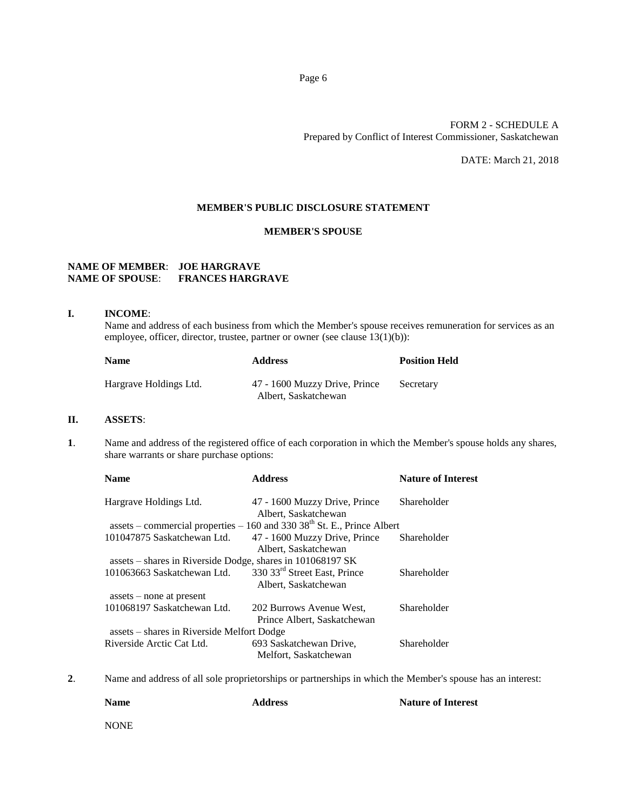# FORM 2 - SCHEDULE A Prepared by Conflict of Interest Commissioner, Saskatchewan

DATE: March 21, 2018

# **MEMBER'S PUBLIC DISCLOSURE STATEMENT**

## **MEMBER'S SPOUSE**

# **NAME OF MEMBER**: **JOE HARGRAVE NAME OF SPOUSE**: **FRANCES HARGRAVE**

#### **I. INCOME**:

Name and address of each business from which the Member's spouse receives remuneration for services as an employee, officer, director, trustee, partner or owner (see clause 13(1)(b)):

| <b>Name</b>            | <b>Address</b>                                        | <b>Position Held</b> |
|------------------------|-------------------------------------------------------|----------------------|
| Hargrave Holdings Ltd. | 47 - 1600 Muzzy Drive, Prince<br>Albert, Saskatchewan | Secretary            |

# **II. ASSETS**:

**1**. Name and address of the registered office of each corporation in which the Member's spouse holds any shares, share warrants or share purchase options:

| <b>Name</b>                                                | <b>Address</b>                                                                | <b>Nature of Interest</b> |
|------------------------------------------------------------|-------------------------------------------------------------------------------|---------------------------|
| Hargrave Holdings Ltd.                                     | 47 - 1600 Muzzy Drive, Prince<br>Albert, Saskatchewan                         | Shareholder               |
|                                                            | assets – commercial properties – $160$ and $330$ $38th$ St. E., Prince Albert |                           |
| 101047875 Saskatchewan Ltd.                                | 47 - 1600 Muzzy Drive, Prince                                                 | Shareholder               |
|                                                            | Albert, Saskatchewan                                                          |                           |
| assets – shares in Riverside Dodge, shares in 101068197 SK |                                                                               |                           |
| 101063663 Saskatchewan Ltd.                                | 330 33 <sup>rd</sup> Street East, Prince                                      | Shareholder               |
|                                                            | Albert, Saskatchewan                                                          |                           |
| $asserts$ – none at present                                |                                                                               |                           |
| 101068197 Saskatchewan Ltd.                                | 202 Burrows Avenue West,                                                      | Shareholder               |
|                                                            | Prince Albert, Saskatchewan                                                   |                           |
| assets – shares in Riverside Melfort Dodge                 |                                                                               |                           |
| Riverside Arctic Cat Ltd.                                  | 693 Saskatchewan Drive,                                                       | Shareholder               |
|                                                            | Melfort, Saskatchewan                                                         |                           |

**2**. Name and address of all sole proprietorships or partnerships in which the Member's spouse has an interest:

**Name Address Address Nature of Interest** 

NONE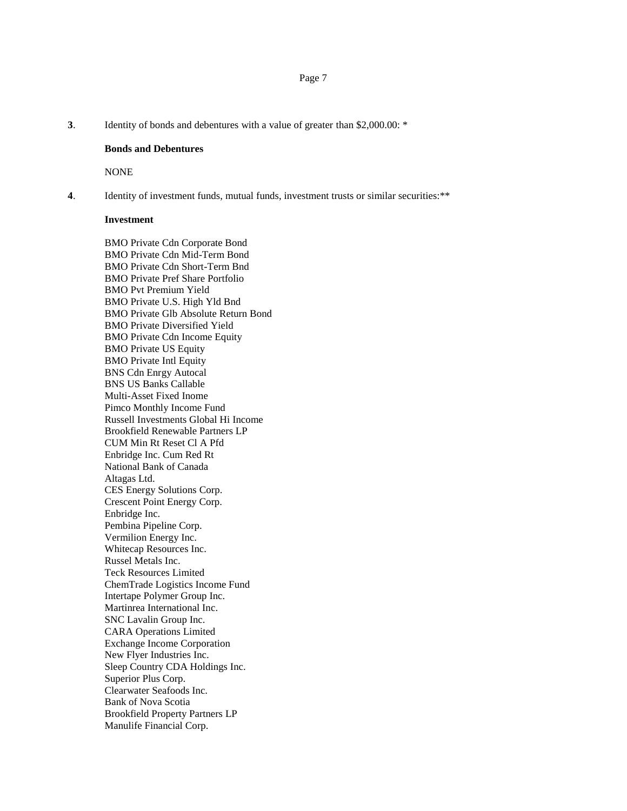**3**. Identity of bonds and debentures with a value of greater than \$2,000.00: \*

#### **Bonds and Debentures**

NONE

**4**. Identity of investment funds, mutual funds, investment trusts or similar securities:\*\*

## **Investment**

BMO Private Cdn Corporate Bond BMO Private Cdn Mid-Term Bond BMO Private Cdn Short-Term Bnd BMO Private Pref Share Portfolio BMO Pvt Premium Yield BMO Private U.S. High Yld Bnd BMO Private Glb Absolute Return Bond BMO Private Diversified Yield BMO Private Cdn Income Equity BMO Private US Equity BMO Private Intl Equity BNS Cdn Enrgy Autocal BNS US Banks Callable Multi-Asset Fixed Inome Pimco Monthly Income Fund Russell Investments Global Hi Income Brookfield Renewable Partners LP CUM Min Rt Reset Cl A Pfd Enbridge Inc. Cum Red Rt National Bank of Canada Altagas Ltd. CES Energy Solutions Corp. Crescent Point Energy Corp. Enbridge Inc. Pembina Pipeline Corp. Vermilion Energy Inc. Whitecap Resources Inc. Russel Metals Inc. Teck Resources Limited ChemTrade Logistics Income Fund Intertape Polymer Group Inc. Martinrea International Inc. SNC Lavalin Group Inc. CARA Operations Limited Exchange Income Corporation New Flyer Industries Inc. Sleep Country CDA Holdings Inc. Superior Plus Corp. Clearwater Seafoods Inc. Bank of Nova Scotia Brookfield Property Partners LP Manulife Financial Corp.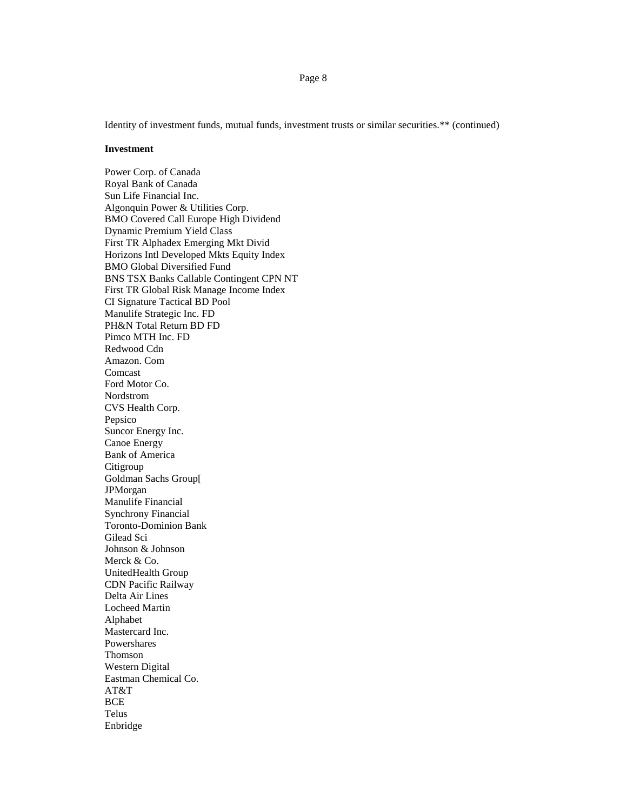Page 8

Identity of investment funds, mutual funds, investment trusts or similar securities.\*\* (continued)

#### **Investment**

Power Corp. of Canada Royal Bank of Canada Sun Life Financial Inc. Algonquin Power & Utilities Corp. BMO Covered Call Europe High Dividend Dynamic Premium Yield Class First TR Alphadex Emerging Mkt Divid Horizons Intl Developed Mkts Equity Index BMO Global Diversified Fund BNS TSX Banks Callable Contingent CPN NT First TR Global Risk Manage Income Index CI Signature Tactical BD Pool Manulife Strategic Inc. FD PH&N Total Return BD FD Pimco MTH Inc. FD Redwood Cdn Amazon. Com Comcast Ford Motor Co. Nordstrom CVS Health Corp. Pepsico Suncor Energy Inc. Canoe Energy Bank of America Citigroup Goldman Sachs Group[ JPMorgan Manulife Financial Synchrony Financial Toronto-Dominion Bank Gilead Sci Johnson & Johnson Merck & Co. UnitedHealth Group CDN Pacific Railway Delta Air Lines Locheed Martin Alphabet Mastercard Inc. Powershares Thomson Western Digital Eastman Chemical Co. AT&T BCE Telus Enbridge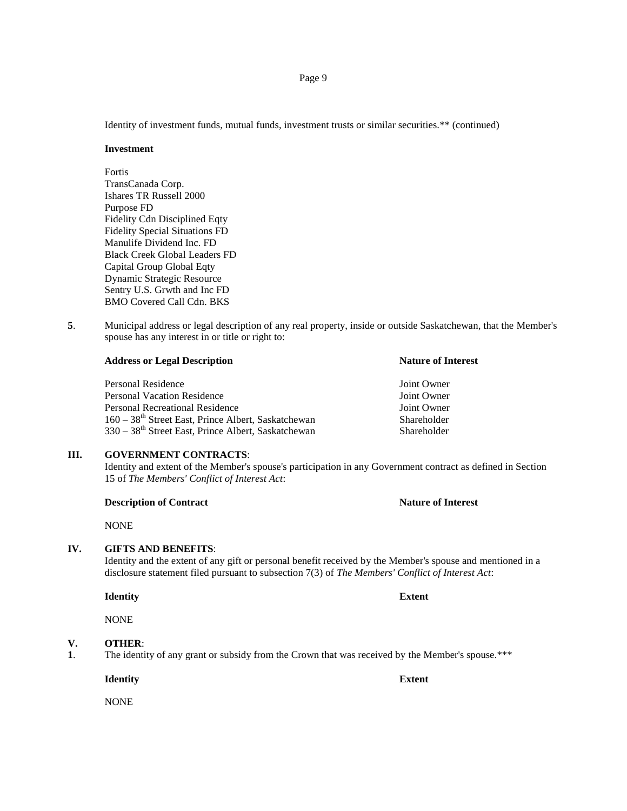Identity of investment funds, mutual funds, investment trusts or similar securities.\*\* (continued)

#### **Investment**

Fortis TransCanada Corp. Ishares TR Russell 2000 Purpose FD Fidelity Cdn Disciplined Eqty Fidelity Special Situations FD Manulife Dividend Inc. FD Black Creek Global Leaders FD Capital Group Global Eqty Dynamic Strategic Resource Sentry U.S. Grwth and Inc FD BMO Covered Call Cdn. BKS

**5**. Municipal address or legal description of any real property, inside or outside Saskatchewan, that the Member's spouse has any interest in or title or right to:

| <b>Address or Legal Description</b>                               | <b>Nature of Interest</b> |  |
|-------------------------------------------------------------------|---------------------------|--|
| Personal Residence                                                | Joint Owner               |  |
| <b>Personal Vacation Residence</b>                                | Joint Owner               |  |
| Personal Recreational Residence                                   | Joint Owner               |  |
| $160 - 38$ <sup>th</sup> Street East, Prince Albert, Saskatchewan | Shareholder               |  |

## **III. GOVERNMENT CONTRACTS**:

Identity and extent of the Member's spouse's participation in any Government contract as defined in Section 15 of *The Members' Conflict of Interest Act*:

## **Description of Contract Nature of Interest**

NONE

### **IV. GIFTS AND BENEFITS**:

Identity and the extent of any gift or personal benefit received by the Member's spouse and mentioned in a disclosure statement filed pursuant to subsection 7(3) of *The Members' Conflict of Interest Act*:

#### **Identity Extent**

NONE

# **V. OTHER**:

**1**. The identity of any grant or subsidy from the Crown that was received by the Member's spouse.\*\*\*

**Identity Extent**

NONE

330 – 38<sup>th</sup> Street East, Prince Albert, Saskatchewan Shareholder